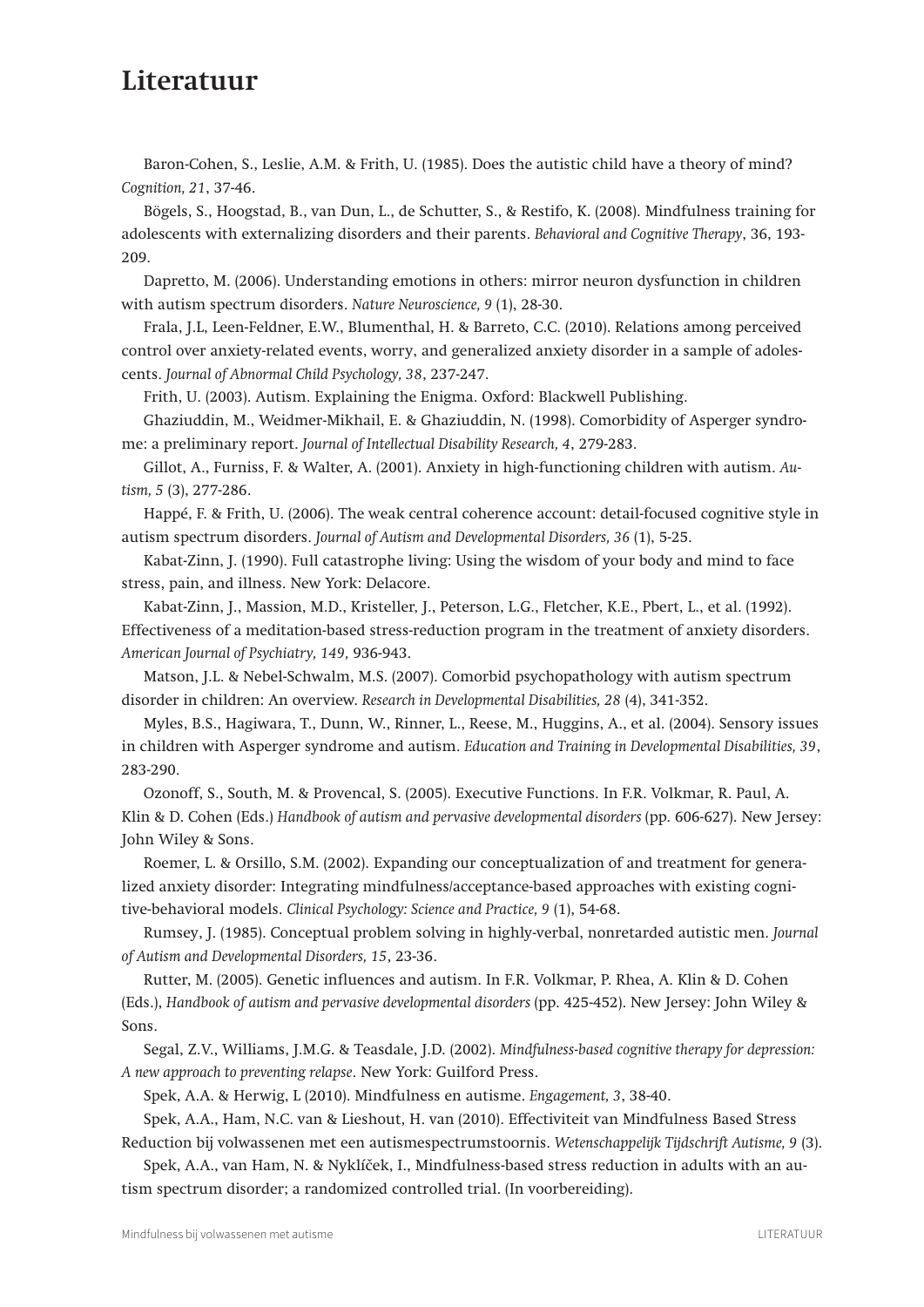## **Literatuur**

Baron-Cohen, S., Leslie, A.M. & Frith, U. (1985). Does the autistic child have a theory of mind? *Cognition, 21*, 37-46.

Bögels, S., Hoogstad, B., van Dun, L., de Schutter, S., & Restifo, K. (2008). Mindfulness training for adolescents with externalizing disorders and their parents. *Behavioral and Cognitive Therapy*, 36, 193- 209.

Dapretto, M. (2006). Understanding emotions in others: mirror neuron dysfunction in children with autism spectrum disorders. *Nature Neuroscience, 9* (1), 28-30.

Frala, J.L, Leen-Feldner, E.W., Blumenthal, H. & Barreto, C.C. (2010). Relations among perceived control over anxiety-related events, worry, and generalized anxiety disorder in a sample of adolescents. *Journal of Abnormal Child Psychology, 38*, 237-247.

Frith, U. (2003). Autism. Explaining the Enigma. Oxford: Blackwell Publishing.

Ghaziuddin, M., Weidmer-Mikhail, E. & Ghaziuddin, N. (1998). Comorbidity of Asperger syndrome: a preliminary report. *Journal of Intellectual Disability Research, 4*, 279-283.

Gillot, A., Furniss, F. & Walter, A. (2001). Anxiety in high-functioning children with autism. *Autism, 5* (3), 277-286.

Happé, F. & Frith, U. (2006). The weak central coherence account: detail-focused cognitive style in autism spectrum disorders. *Journal of Autism and Developmental Disorders, 36* (1), 5-25.

Kabat-Zinn, J. (1990). Full catastrophe living: Using the wisdom of your body and mind to face stress, pain, and illness. New York: Delacore.

Kabat-Zinn, J., Massion, M.D., Kristeller, J., Peterson, L.G., Fletcher, K.E., Pbert, L., et al. (1992). Effectiveness of a meditation-based stress-reduction program in the treatment of anxiety disorders. *American Journal of Psychiatry, 149,* 936-943.

Matson, J.L. & Nebel-Schwalm, M.S. (2007). Comorbid psychopathology with autism spectrum disorder in children: An overview. *Research in Developmental Disabilities, 28* (4), 341-352.

Myles, B.S., Hagiwara, T., Dunn, W., Rinner, L., Reese, M., Huggins, A., et al. (2004). Sensory issues in children with Asperger syndrome and autism. *Education and Training in Developmental Disabilities, 39*, 283-290.

Ozonoff, S., South, M. & Provencal, S. (2005). Executive Functions. In F.R. Volkmar, R. Paul, A. Klin & D. Cohen (Eds.) *Handbook of autism and pervasive developmental disorders* (pp. 606-627). New Jersey: John Wiley & Sons.

Roemer, L. & Orsillo, S.M. (2002). Expanding our conceptualization of and treatment for generalized anxiety disorder: Integrating mindfulness/acceptance-based approaches with existing cognitive-behavioral models. *Clinical Psychology: Science and Practice, 9* (1), 54-68.

Rumsey, J. (1985). Conceptual problem solving in highly-verbal, nonretarded autistic men. *Journal of Autism and Developmental Disorders, 15*, 23-36.

Rutter, M. (2005). Genetic influences and autism. In F.R. Volkmar, P. Rhea, A. Klin & D. Cohen (Eds.), *Handbook of autism and pervasive developmental disorders* (pp. 425-452). New Jersey: John Wiley & Sons.

Segal, Z.V., Williams, J.M.G. & Teasdale, J.D. (2002). *Mindfulness-based cognitive therapy for depression: A new approach to preventing relapse*. New York: Guilford Press.

Spek, A.A. & Herwig, L (2010). Mindfulness en autisme. *Engagement, 3*, 38-40.

Spek, A.A., Ham, N.C. van & Lieshout, H. van (2010). Effectiviteit van Mindfulness Based Stress Reduction bij volwassenen met een autismespectrumstoornis. *Wetenschappelijk Tijdschrift Autisme, 9* (3).

Spek, A.A., van Ham, N. & Nyklíček, I., Mindfulness-based stress reduction in adults with an autism spectrum disorder; a randomized controlled trial. (In voorbereiding).